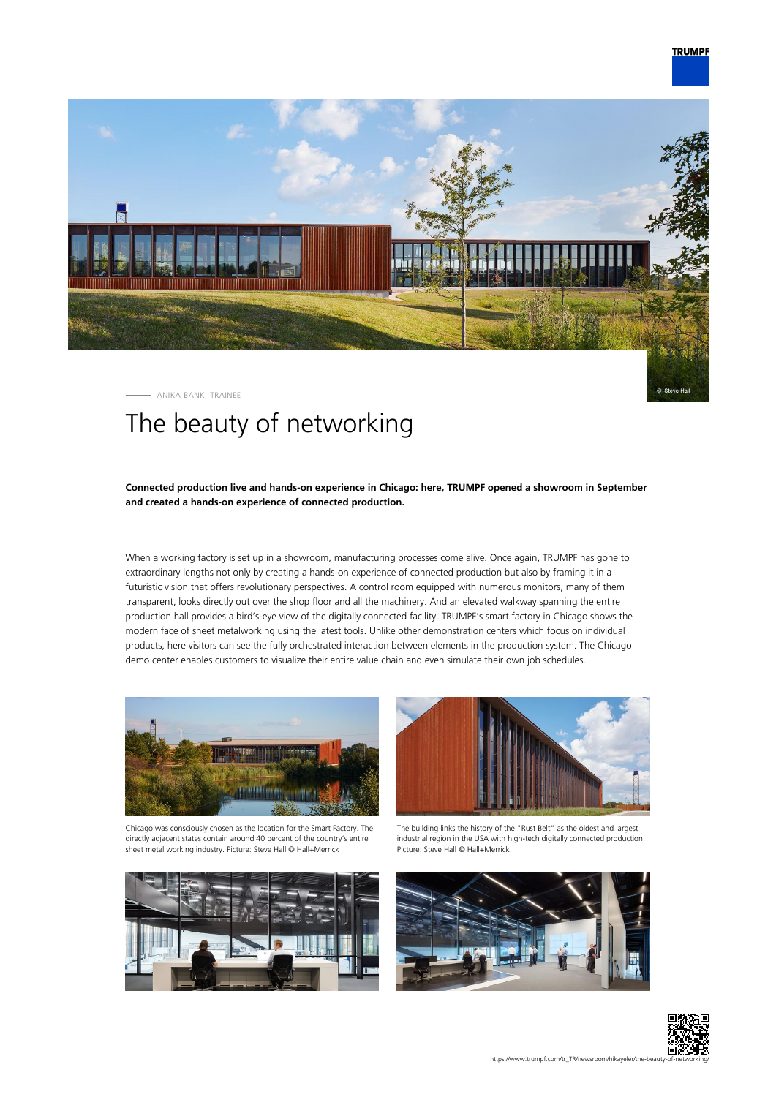

© Steve Hal



ANIKA BANK, TRAINEE

## The beauty of networking

## **Connected production live and hands-on experience in Chicago: here, TRUMPF opened a showroom in September and created a hands-on experience of connected production.**

When a working factory is set up in a showroom, manufacturing processes come alive. Once again, TRUMPF has gone to extraordinary lengths not only by creating a hands-on experience of connected production but also by framing it in a futuristic vision that offers revolutionary perspectives. A control room equipped with numerous monitors, many of them transparent, looks directly out over the shop floor and all the machinery. And an elevated walkway spanning the entire production hall provides a bird's-eye view of the digitally connected facility. TRUMPF's smart factory in Chicago shows the modern face of sheet metalworking using the latest tools. Unlike other demonstration centers which focus on individual products, here visitors can see the fully orchestrated interaction between elements in the production system. The Chicago demo center enables customers to visualize their entire value chain and even simulate their own job schedules.



Chicago was consciously chosen as the location for the Smart Factory. The directly adjacent states contain around 40 percent of the country's entire sheet metal working industry. Picture: Steve Hall © Hall+Merrick





The building links the history of the "Rust Belt" as the oldest and largest industrial region in the USA with high-tech digitally connected production. Picture: Steve Hall © Hall+Merrick